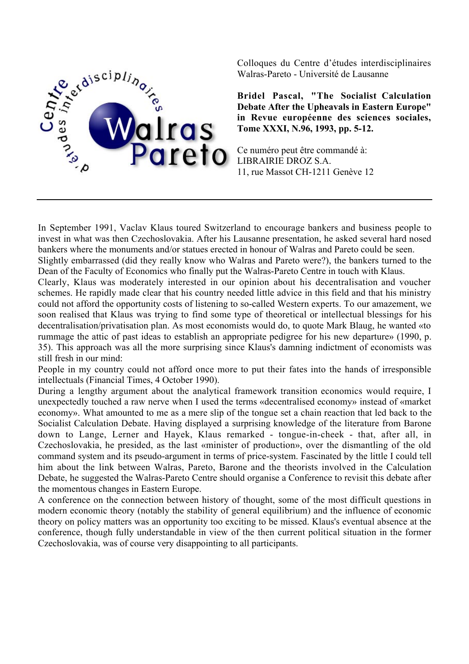

Colloques du Centre d'études interdisciplinaires Walras-Pareto - Université de Lausanne

**Bridel Pascal, "The Socialist Calculation Debate After the Upheavals in Eastern Europe" in Revue européenne des sciences sociales, Tome XXXI, N.96, 1993, pp. 5-12.**

Ce numéro peut être commandé à: LIBRAIRIE DROZ S.A. 11, rue Massot CH-1211 Genève 12

In September 1991, Vaclav Klaus toured Switzerland to encourage bankers and business people to invest in what was then Czechoslovakia. After his Lausanne presentation, he asked several hard nosed bankers where the monuments and/or statues erected in honour of Walras and Pareto could be seen.

Slightly embarrassed (did they really know who Walras and Pareto were?), the bankers turned to the Dean of the Faculty of Economics who finally put the Walras-Pareto Centre in touch with Klaus.

Clearly, Klaus was moderately interested in our opinion about his decentralisation and voucher schemes. He rapidly made clear that his country needed little advice in this field and that his ministry could not afford the opportunity costs of listening to so-called Western experts. To our amazement, we soon realised that Klaus was trying to find some type of theoretical or intellectual blessings for his decentralisation/privatisation plan. As most economists would do, to quote Mark Blaug, he wanted «to rummage the attic of past ideas to establish an appropriate pedigree for his new departure» (1990, p. 35). This approach was all the more surprising since Klaus's damning indictment of economists was still fresh in our mind:

People in my country could not afford once more to put their fates into the hands of irresponsible intellectuals (Financial Times, 4 October 1990).

During a lengthy argument about the analytical framework transition economics would require, I unexpectedly touched a raw nerve when I used the terms «decentralised economy» instead of «market economy». What amounted to me as a mere slip of the tongue set a chain reaction that led back to the Socialist Calculation Debate. Having displayed a surprising knowledge of the literature from Barone down to Lange, Lerner and Hayek, Klaus remarked - tongue-in-cheek - that, after all, in Czechoslovakia, he presided, as the last «minister of production», over the dismantling of the old command system and its pseudo-argument in terms of price-system. Fascinated by the little I could tell him about the link between Walras, Pareto, Barone and the theorists involved in the Calculation Debate, he suggested the Walras-Pareto Centre should organise a Conference to revisit this debate after the momentous changes in Eastern Europe.

A conference on the connection between history of thought, some of the most difficult questions in modern economic theory (notably the stability of general equilibrium) and the influence of economic theory on policy matters was an opportunity too exciting to be missed. Klaus's eventual absence at the conference, though fully understandable in view of the then current political situation in the former Czechoslovakia, was of course very disappointing to all participants.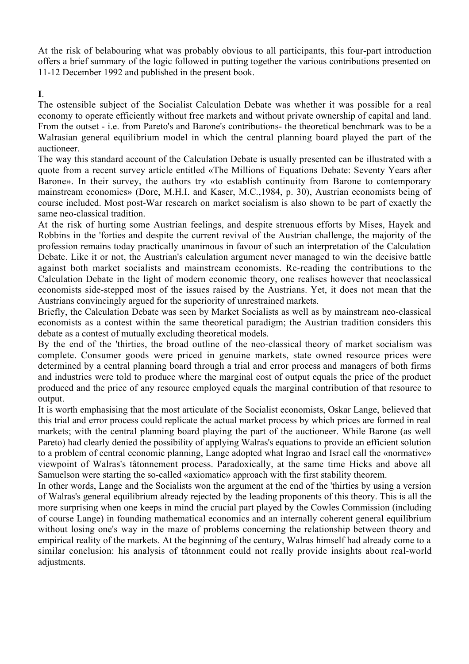At the risk of belabouring what was probably obvious to all participants, this four-part introduction offers a brief summary of the logic followed in putting together the various contributions presented on 11-12 December 1992 and published in the present book.

## **I**.

The ostensible subject of the Socialist Calculation Debate was whether it was possible for a real economy to operate efficiently without free markets and without private ownership of capital and land. From the outset - i.e. from Pareto's and Barone's contributions- the theoretical benchmark was to be a Walrasian general equilibrium model in which the central planning board played the part of the auctioneer.

The way this standard account of the Calculation Debate is usually presented can be illustrated with a quote from a recent survey article entitled «The Millions of Equations Debate: Seventy Years after Barone». In their survey, the authors try «to establish continuity from Barone to contemporary mainstream economics» (Dore, M.H.I. and Kaser, M.C.,1984, p. 30), Austrian economists being of course included. Most post-War research on market socialism is also shown to be part of exactly the same neo-classical tradition.

At the risk of hurting some Austrian feelings, and despite strenuous efforts by Mises, Hayek and Robbins in the 'forties and despite the current revival of the Austrian challenge, the majority of the profession remains today practically unanimous in favour of such an interpretation of the Calculation Debate. Like it or not, the Austrian's calculation argument never managed to win the decisive battle against both market socialists and mainstream economists. Re-reading the contributions to the Calculation Debate in the light of modern economic theory, one realises however that neoclassical economists side-stepped most of the issues raised by the Austrians. Yet, it does not mean that the Austrians convincingly argued for the superiority of unrestrained markets.

Briefly, the Calculation Debate was seen by Market Socialists as well as by mainstream neo-classical economists as a contest within the same theoretical paradigm; the Austrian tradition considers this debate as a contest of mutually excluding theoretical models.

By the end of the 'thirties, the broad outline of the neo-classical theory of market socialism was complete. Consumer goods were priced in genuine markets, state owned resource prices were determined by a central planning board through a trial and error process and managers of both firms and industries were told to produce where the marginal cost of output equals the price of the product produced and the price of any resource employed equals the marginal contribution of that resource to output.

It is worth emphasising that the most articulate of the Socialist economists, Oskar Lange, believed that this trial and error process could replicate the actual market process by which prices are formed in real markets; with the central planning board playing the part of the auctioneer. While Barone (as well Pareto) had clearly denied the possibility of applying Walras's equations to provide an efficient solution to a problem of central economic planning, Lange adopted what Ingrao and Israel call the «normative» viewpoint of Walras's tâtonnement process. Paradoxically, at the same time Hicks and above all Samuelson were starting the so-called «axiomatic» approach with the first stability theorem.

In other words, Lange and the Socialists won the argument at the end of the 'thirties by using a version of Walras's general equilibrium already rejected by the leading proponents of this theory. This is all the more surprising when one keeps in mind the crucial part played by the Cowles Commission (including of course Lange) in founding mathematical economics and an internally coherent general equilibrium without losing one's way in the maze of problems concerning the relationship between theory and empirical reality of the markets. At the beginning of the century, Walras himself had already come to a similar conclusion: his analysis of tâtonnment could not really provide insights about real-world adjustments.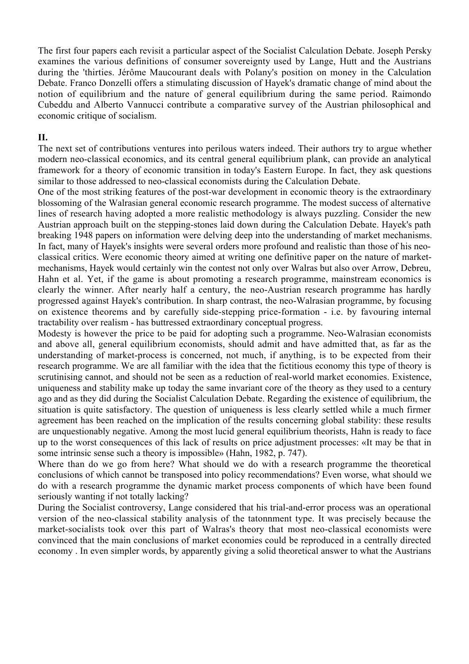The first four papers each revisit a particular aspect of the Socialist Calculation Debate. Joseph Persky examines the various definitions of consumer sovereignty used by Lange, Hutt and the Austrians during the 'thirties. Jérôme Maucourant deals with Polany's position on money in the Calculation Debate. Franco Donzelli offers a stimulating discussion of Hayek's dramatic change of mind about the notion of equilibrium and the nature of general equilibrium during the same period. Raimondo Cubeddu and Alberto Vannucci contribute a comparative survey of the Austrian philosophical and economic critique of socialism.

## **II.**

The next set of contributions ventures into perilous waters indeed. Their authors try to argue whether modern neo-classical economics, and its central general equilibrium plank, can provide an analytical framework for a theory of economic transition in today's Eastern Europe. In fact, they ask questions similar to those addressed to neo-classical economists during the Calculation Debate.

One of the most striking features of the post-war development in economic theory is the extraordinary blossoming of the Walrasian general economic research programme. The modest success of alternative lines of research having adopted a more realistic methodology is always puzzling. Consider the new Austrian approach built on the stepping-stones laid down during the Calculation Debate. Hayek's path breaking 1948 papers on information were delving deep into the understanding of market mechanisms. In fact, many of Hayek's insights were several orders more profound and realistic than those of his neoclassical critics. Were economic theory aimed at writing one definitive paper on the nature of marketmechanisms, Hayek would certainly win the contest not only over Walras but also over Arrow, Debreu, Hahn et al. Yet, if the game is about promoting a research programme, mainstream economics is clearly the winner. After nearly half a century, the neo-Austrian research programme has hardly progressed against Hayek's contribution. In sharp contrast, the neo-Walrasian programme, by focusing on existence theorems and by carefully side-stepping price-formation - i.e. by favouring internal tractability over realism - has buttressed extraordinary conceptual progress.

Modesty is however the price to be paid for adopting such a programme. Neo-Walrasian economists and above all, general equilibrium economists, should admit and have admitted that, as far as the understanding of market-process is concerned, not much, if anything, is to be expected from their research programme. We are all familiar with the idea that the fictitious economy this type of theory is scrutinising cannot, and should not be seen as a reduction of real-world market economies. Existence, uniqueness and stability make up today the same invariant core of the theory as they used to a century ago and as they did during the Socialist Calculation Debate. Regarding the existence of equilibrium, the situation is quite satisfactory. The question of uniqueness is less clearly settled while a much firmer agreement has been reached on the implication of the results concerning global stability: these results are unquestionably negative. Among the most lucid general equilibrium theorists, Hahn is ready to face up to the worst consequences of this lack of results on price adjustment processes: «It may be that in some intrinsic sense such a theory is impossible» (Hahn, 1982, p. 747).

Where than do we go from here? What should we do with a research programme the theoretical conclusions of which cannot be transposed into policy recommendations? Even worse, what should we do with a research programme the dynamic market process components of which have been found seriously wanting if not totally lacking?

During the Socialist controversy, Lange considered that his trial-and-error process was an operational version of the neo-classical stability analysis of the tatonnment type. It was precisely because the market-socialists took over this part of Walras's theory that most neo-classical economists were convinced that the main conclusions of market economies could be reproduced in a centrally directed economy . In even simpler words, by apparently giving a solid theoretical answer to what the Austrians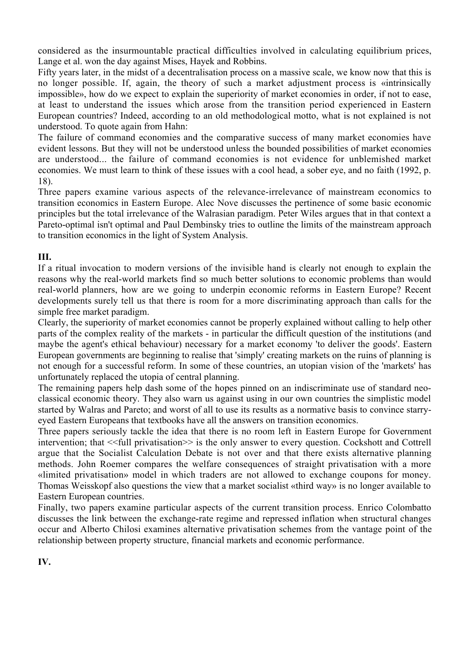considered as the insurmountable practical difficulties involved in calculating equilibrium prices, Lange et al. won the day against Mises, Hayek and Robbins.

Fifty years later, in the midst of a decentralisation process on a massive scale, we know now that this is no longer possible. If, again, the theory of such a market adjustment process is «intrinsically impossible», how do we expect to explain the superiority of market economies in order, if not to ease, at least to understand the issues which arose from the transition period experienced in Eastern European countries? Indeed, according to an old methodological motto, what is not explained is not understood. To quote again from Hahn:

The failure of command economies and the comparative success of many market economies have evident lessons. But they will not be understood unless the bounded possibilities of market economies are understood... the failure of command economies is not evidence for unblemished market economies. We must learn to think of these issues with a cool head, a sober eye, and no faith (1992, p. 18).

Three papers examine various aspects of the relevance-irrelevance of mainstream economics to transition economics in Eastern Europe. Alec Nove discusses the pertinence of some basic economic principles but the total irrelevance of the Walrasian paradigm. Peter Wiles argues that in that context a Pareto-optimal isn't optimal and Paul Dembinsky tries to outline the limits of the mainstream approach to transition economics in the light of System Analysis.

## **III.**

If a ritual invocation to modern versions of the invisible hand is clearly not enough to explain the reasons why the real-world markets find so much better solutions to economic problems than would real-world planners, how are we going to underpin economic reforms in Eastern Europe? Recent developments surely tell us that there is room for a more discriminating approach than calls for the simple free market paradigm.

Clearly, the superiority of market economies cannot be properly explained without calling to help other parts of the complex reality of the markets - in particular the difficult question of the institutions (and maybe the agent's ethical behaviour) necessary for a market economy 'to deliver the goods'. Eastern European governments are beginning to realise that 'simply' creating markets on the ruins of planning is not enough for a successful reform. In some of these countries, an utopian vision of the 'markets' has unfortunately replaced the utopia of central planning.

The remaining papers help dash some of the hopes pinned on an indiscriminate use of standard neoclassical economic theory. They also warn us against using in our own countries the simplistic model started by Walras and Pareto; and worst of all to use its results as a normative basis to convince starryeyed Eastern Europeans that textbooks have all the answers on transition economics.

Three papers seriously tackle the idea that there is no room left in Eastern Europe for Government intervention; that << full privatisation >> is the only answer to every question. Cockshott and Cottrell argue that the Socialist Calculation Debate is not over and that there exists alternative planning methods. John Roemer compares the welfare consequences of straight privatisation with a more «limited privatisation» model in which traders are not allowed to exchange coupons for money. Thomas Weisskopf also questions the view that a market socialist «third way» is no longer available to Eastern European countries.

Finally, two papers examine particular aspects of the current transition process. Enrico Colombatto discusses the link between the exchange-rate regime and repressed inflation when structural changes occur and Alberto Chilosi examines alternative privatisation schemes from the vantage point of the relationship between property structure, financial markets and economic performance.

**IV.**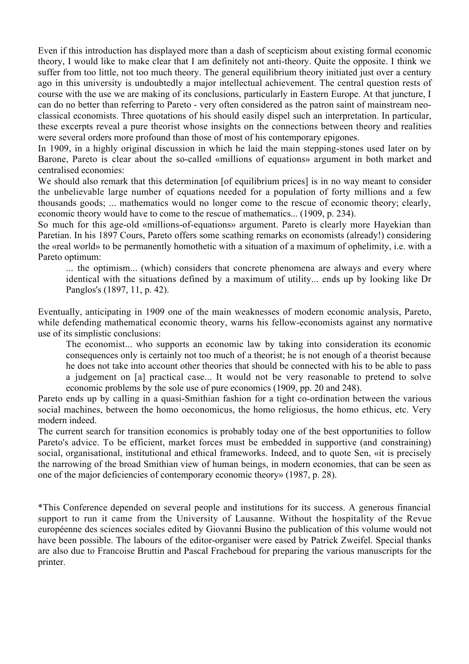Even if this introduction has displayed more than a dash of scepticism about existing formal economic theory, I would like to make clear that I am definitely not anti-theory. Quite the opposite. I think we suffer from too little, not too much theory. The general equilibrium theory initiated just over a century ago in this university is undoubtedly a major intellectual achievement. The central question rests of course with the use we are making of its conclusions, particularly in Eastern Europe. At that juncture, I can do no better than referring to Pareto - very often considered as the patron saint of mainstream neoclassical economists. Three quotations of his should easily dispel such an interpretation. In particular, these excerpts reveal a pure theorist whose insights on the connections between theory and realities were several orders more profound than those of most of his contemporary epigones.

In 1909, in a highly original discussion in which he laid the main stepping-stones used later on by Barone, Pareto is clear about the so-called «millions of equations» argument in both market and centralised economies:

We should also remark that this determination [of equilibrium prices] is in no way meant to consider the unbelievable large number of equations needed for a population of forty millions and a few thousands goods; ... mathematics would no longer come to the rescue of economic theory; clearly, economic theory would have to come to the rescue of mathematics... (1909, p. 234).

So much for this age-old «millions-of-equations» argument. Pareto is clearly more Hayekian than Paretian. In his 1897 Cours, Pareto offers some scathing remarks on economists (already!) considering the «real world» to be permanently homothetic with a situation of a maximum of ophelimity, i.e. with a Pareto optimum:

... the optimism... (which) considers that concrete phenomena are always and every where identical with the situations defined by a maximum of utility... ends up by looking like Dr Panglos's (1897, 11, p. 42).

Eventually, anticipating in 1909 one of the main weaknesses of modern economic analysis, Pareto, while defending mathematical economic theory, warns his fellow-economists against any normative use of its simplistic conclusions:

The economist... who supports an economic law by taking into consideration its economic consequences only is certainly not too much of a theorist; he is not enough of a theorist because he does not take into account other theories that should be connected with his to be able to pass a judgement on [a] practical case... It would not be very reasonable to pretend to solve economic problems by the sole use of pure economics (1909, pp. 20 and 248).

Pareto ends up by calling in a quasi-Smithian fashion for a tight co-ordination between the various social machines, between the homo oeconomicus, the homo religiosus, the homo ethicus, etc. Very modern indeed.

The current search for transition economics is probably today one of the best opportunities to follow Pareto's advice. To be efficient, market forces must be embedded in supportive (and constraining) social, organisational, institutional and ethical frameworks. Indeed, and to quote Sen, «it is precisely the narrowing of the broad Smithian view of human beings, in modern economies, that can be seen as one of the major deficiencies of contemporary economic theory» (1987, p. 28).

\*This Conference depended on several people and institutions for its success. A generous financial support to run it came from the University of Lausanne. Without the hospitality of the Revue européenne des sciences sociales edited by Giovanni Busino the publication of this volume would not have been possible. The labours of the editor-organiser were eased by Patrick Zweifel. Special thanks are also due to Francoise Bruttin and Pascal Fracheboud for preparing the various manuscripts for the printer.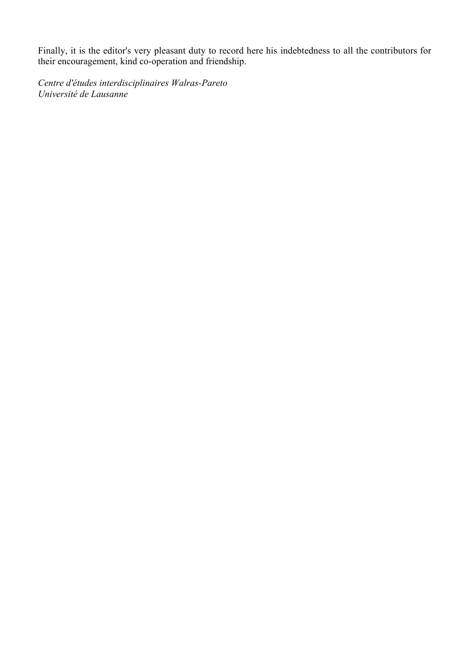Finally, it is the editor's very pleasant duty to record here his indebtedness to all the contributors for their encouragement, kind co-operation and friendship.

*Centre d'études interdisciplinaires Walras-Pareto Université de Lausanne*